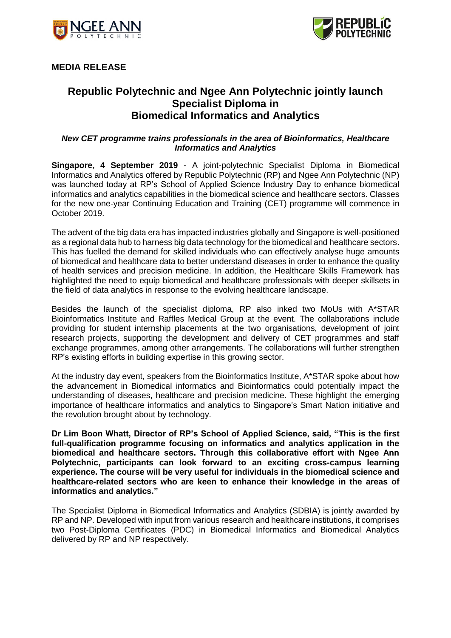



# **MEDIA RELEASE**

# **Republic Polytechnic and Ngee Ann Polytechnic jointly launch Specialist Diploma in Biomedical Informatics and Analytics**

## *New CET programme trains professionals in the area of Bioinformatics, Healthcare Informatics and Analytics*

**Singapore, 4 September 2019** - A joint-polytechnic Specialist Diploma in Biomedical Informatics and Analytics offered by Republic Polytechnic (RP) and Ngee Ann Polytechnic (NP) was launched today at RP's School of Applied Science Industry Day to enhance biomedical informatics and analytics capabilities in the biomedical science and healthcare sectors. Classes for the new one-year Continuing Education and Training (CET) programme will commence in October 2019.

The advent of the big data era has impacted industries globally and Singapore is well-positioned as a regional data hub to harness big data technology for the biomedical and healthcare sectors. This has fuelled the demand for skilled individuals who can effectively analyse huge amounts of biomedical and healthcare data to better understand diseases in order to enhance the quality of health services and precision medicine. In addition, the Healthcare Skills Framework has highlighted the need to equip biomedical and healthcare professionals with deeper skillsets in the field of data analytics in response to the evolving healthcare landscape.

Besides the launch of the specialist diploma, RP also inked two MoUs with A\*STAR Bioinformatics Institute and Raffles Medical Group at the event. The collaborations include providing for student internship placements at the two organisations, development of joint research projects, supporting the development and delivery of CET programmes and staff exchange programmes, among other arrangements. The collaborations will further strengthen RP's existing efforts in building expertise in this growing sector.

At the industry day event, speakers from the Bioinformatics Institute, A\*STAR spoke about how the advancement in Biomedical informatics and Bioinformatics could potentially impact the understanding of diseases, healthcare and precision medicine. These highlight the emerging importance of healthcare informatics and analytics to Singapore's Smart Nation initiative and the revolution brought about by technology.

**Dr Lim Boon Whatt, Director of RP's School of Applied Science, said, "This is the first full-qualification programme focusing on informatics and analytics application in the biomedical and healthcare sectors. Through this collaborative effort with Ngee Ann Polytechnic, participants can look forward to an exciting cross-campus learning experience. The course will be very useful for individuals in the biomedical science and healthcare-related sectors who are keen to enhance their knowledge in the areas of informatics and analytics."** 

The Specialist Diploma in Biomedical Informatics and Analytics (SDBIA) is jointly awarded by RP and NP. Developed with input from various research and healthcare institutions, it comprises two Post-Diploma Certificates (PDC) in Biomedical Informatics and Biomedical Analytics delivered by RP and NP respectively.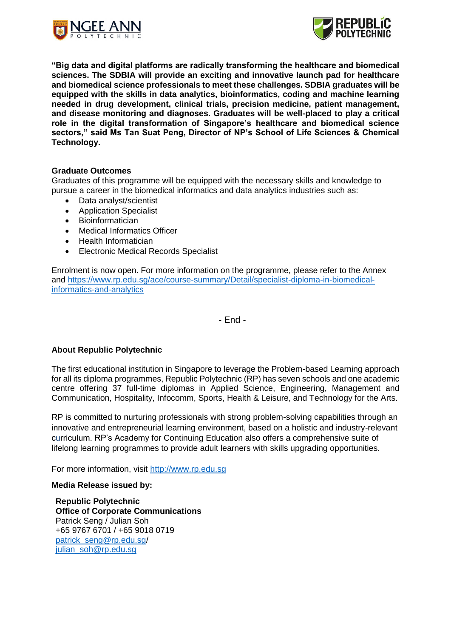



**"Big data and digital platforms are radically transforming the healthcare and biomedical sciences. The SDBIA will provide an exciting and innovative launch pad for healthcare and biomedical science professionals to meet these challenges. SDBIA graduates will be equipped with the skills in data analytics, bioinformatics, coding and machine learning needed in drug development, clinical trials, precision medicine, patient management, and disease monitoring and diagnoses. Graduates will be well-placed to play a critical role in the digital transformation of Singapore's healthcare and biomedical science sectors," said Ms Tan Suat Peng, Director of NP's School of Life Sciences & Chemical Technology.**

#### **Graduate Outcomes**

Graduates of this programme will be equipped with the necessary skills and knowledge to pursue a career in the biomedical informatics and data analytics industries such as:

- Data analyst/scientist
- Application Specialist
- Bioinformatician
- Medical Informatics Officer
- Health Informatician
- Electronic Medical Records Specialist

Enrolment is now open. For more information on the programme, please refer to the Annex and [https://www.rp.edu.sg/ace/course-summary/Detail/specialist-diploma-in-biomedical](https://www.rp.edu.sg/ace/course-summary/Detail/specialist-diploma-in-biomedical-informatics-and-analytics)[informatics-and-analytics](https://www.rp.edu.sg/ace/course-summary/Detail/specialist-diploma-in-biomedical-informatics-and-analytics)

- End -

## **About Republic Polytechnic**

The first educational institution in Singapore to leverage the Problem-based Learning approach for all its diploma programmes, Republic Polytechnic (RP) has seven schools and one academic centre offering 37 full-time diplomas in Applied Science, Engineering, Management and Communication, Hospitality, Infocomm, Sports, Health & Leisure, and Technology for the Arts.

RP is committed to nurturing professionals with strong problem-solving capabilities through an innovative and entrepreneurial learning environment, based on a holistic and industry-relevant curriculum. RP's Academy for Continuing Education also offers a comprehensive suite of lifelong learning programmes to provide adult learners with skills upgrading opportunities.

For more information, visit [http://www.rp.edu.sg](http://www.rp.edu.sg/)

#### **Media Release issued by:**

**Republic Polytechnic Office of Corporate Communications** Patrick Seng / Julian Soh +65 9767 6701 / +65 9018 0719 [patrick\\_seng@rp.edu.sg/](mailto:patrick_seng@rp.edu.sg) [julian\\_soh@rp.edu.sg](mailto:julian_soh@rp.edu.sg)